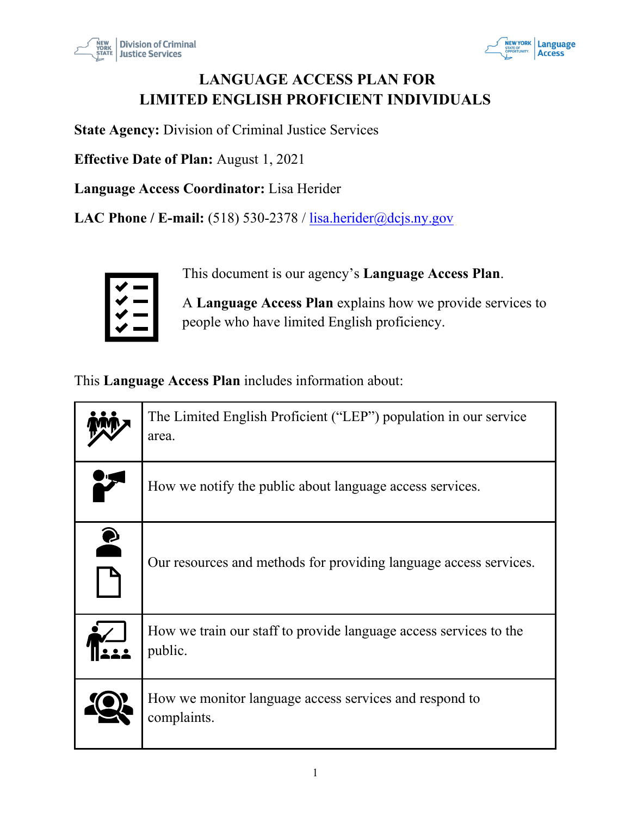



# **LANGUAGE ACCESS PLAN FOR LIMITED ENGLISH PROFICIENT INDIVIDUALS**

**State Agency:** Division of Criminal Justice Services

**Effective Date of Plan:** August 1, 2021

**Language Access Coordinator:** Lisa Herider

**LAC Phone / E-mail:** (518) 530-2378 / lisa.herider@dcjs.ny.gov



This document is our agency's **Language Access Plan**.

A **Language Access Plan** explains how we provide services to people who have limited English proficiency.

This **Language Access Plan** includes information about:

|           | The Limited English Proficient ("LEP") population in our service<br>area.    |
|-----------|------------------------------------------------------------------------------|
|           | How we notify the public about language access services.                     |
| $\bullet$ | Our resources and methods for providing language access services.            |
|           | How we train our staff to provide language access services to the<br>public. |
|           | How we monitor language access services and respond to<br>complaints.        |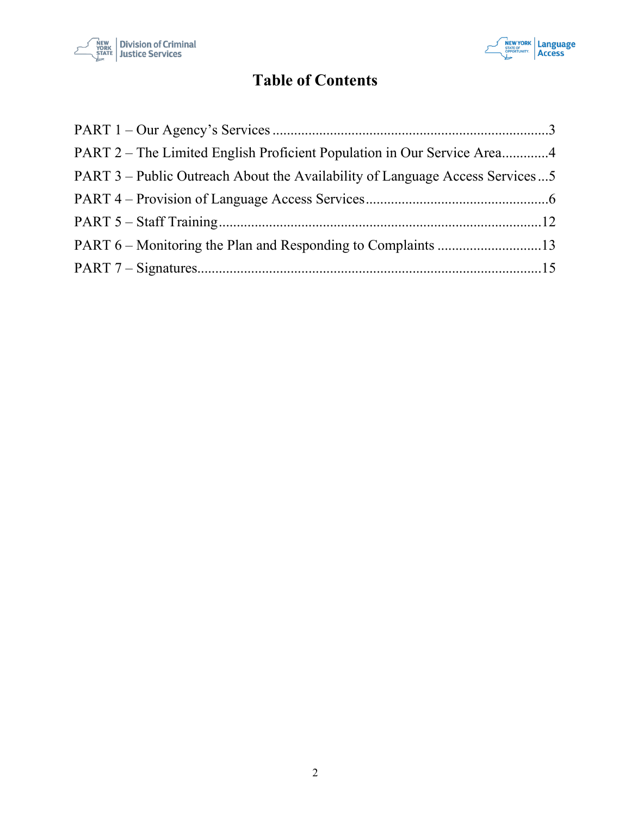



# **Table of Contents**

| PART 2 – The Limited English Proficient Population in Our Service Area4      |  |
|------------------------------------------------------------------------------|--|
| PART 3 – Public Outreach About the Availability of Language Access Services5 |  |
|                                                                              |  |
|                                                                              |  |
|                                                                              |  |
|                                                                              |  |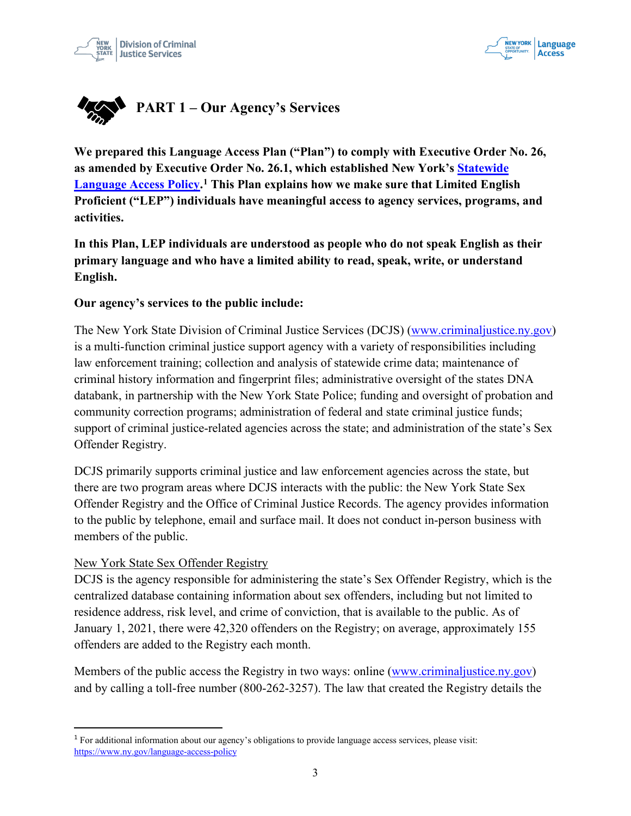



<span id="page-2-0"></span>

**We prepared this Language Access Plan ("Plan") to comply with Executive Order No. 26, as amended by Executive Order No. 26.1, which established New York's Statewide Language Access Policy. [1](#page-2-1) This Plan explains how we make sure that Limited English Proficient ("LEP") individuals have meaningful access to agency services, programs, and activities.**

**In this Plan, LEP individuals are understood as people who do not speak English as their primary language and who have a limited ability to read, speak, write, or understand English.** 

#### **Our agency's services to the public include:**

The New York State Division of Criminal Justice Services (DCJS) (www.criminaljustice.ny.gov) is a multi-function criminal justice support agency with a variety of responsibilities including law enforcement training; collection and analysis of statewide crime data; maintenance of criminal history information and fingerprint files; administrative oversight of the states DNA databank, in partnership with the New York State Police; funding and oversight of probation and community correction programs; administration of federal and state criminal justice funds; support of criminal justice-related agencies across the state; and administration of the state's Sex Offender Registry.

DCJS primarily supports criminal justice and law enforcement agencies across the state, but there are two program areas where DCJS interacts with the public: the New York State Sex Offender Registry and the Office of Criminal Justice Records. The agency provides information to the public by telephone, email and surface mail. It does not conduct in-person business with members of the public.

#### New York State Sex Offender Registry

DCJS is the agency responsible for administering the state's Sex Offender Registry, which is the centralized database containing information about sex offenders, including but not limited to residence address, risk level, and crime of conviction, that is available to the public. As of January 1, 2021, there were 42,320 offenders on the Registry; on average, approximately 155 offenders are added to the Registry each month.

Members of the public access the Registry in two ways: online (www.criminaljustice.ny.gov) and by calling a toll-free number (800-262-3257). The law that created the Registry details the

<span id="page-2-1"></span><sup>1</sup> For additional information about our agency's obligations to provide language access services, please visit: https://www.ny.gov/language-access-policy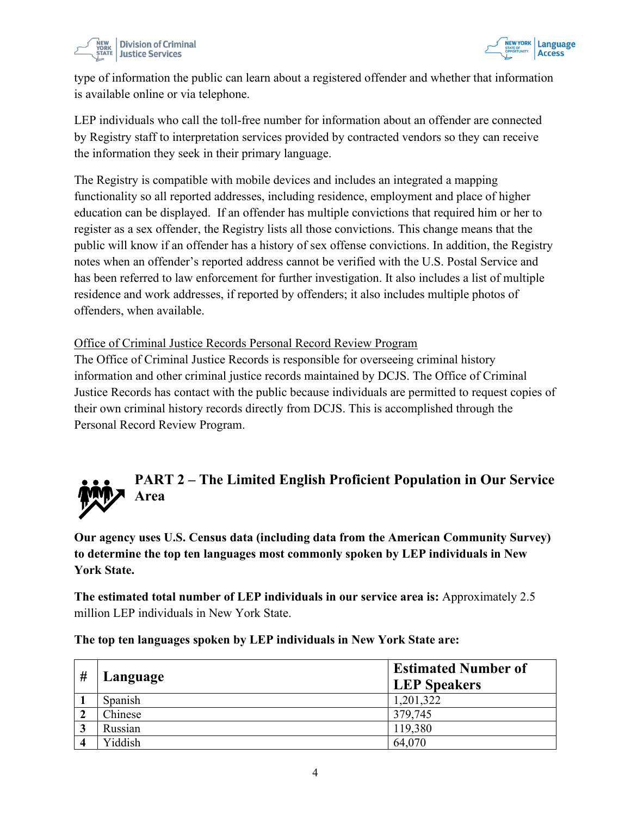



type of information the public can learn about a registered offender and whether that information is available online or via telephone.

LEP individuals who call the toll-free number for information about an offender are connected by Registry staff to interpretation services provided by contracted vendors so they can receive the information they seek in their primary language.

The Registry is compatible with mobile devices and includes an integrated a mapping functionality so all reported addresses, including residence, employment and place of higher education can be displayed. If an offender has multiple convictions that required him or her to register as a sex offender, the Registry lists all those convictions. This change means that the public will know if an offender has a history of sex offense convictions. In addition, the Registry notes when an offender's reported address cannot be verified with the U.S. Postal Service and has been referred to law enforcement for further investigation. It also includes a list of multiple residence and work addresses, if reported by offenders; it also includes multiple photos of offenders, when available.

Office of Criminal Justice Records Personal Record Review Program

The Office of Criminal Justice Records is responsible for overseeing criminal history information and other criminal justice records maintained by DCJS. The Office of Criminal Justice Records has contact with the public because individuals are permitted to request copies of their own criminal history records directly from DCJS. This is accomplished through the Personal Record Review Program.



# <span id="page-3-0"></span>**PART 2 – The Limited English Proficient Population in Our Service Area**

**Our agency uses U.S. Census data (including data from the American Community Survey) to determine the top ten languages most commonly spoken by LEP individuals in New York State.** 

**The estimated total number of LEP individuals in our service area is:** Approximately 2.5 million LEP individuals in New York State.

| # | Language | <b>Estimated Number of</b><br><b>LEP Speakers</b> |
|---|----------|---------------------------------------------------|
|   | Spanish  | 1,201,322                                         |
| 2 | Chinese  | 379,745                                           |
| 3 | Russian  | 119,380                                           |
|   | Yiddish  | 64,070                                            |

**The top ten languages spoken by LEP individuals in New York State are:**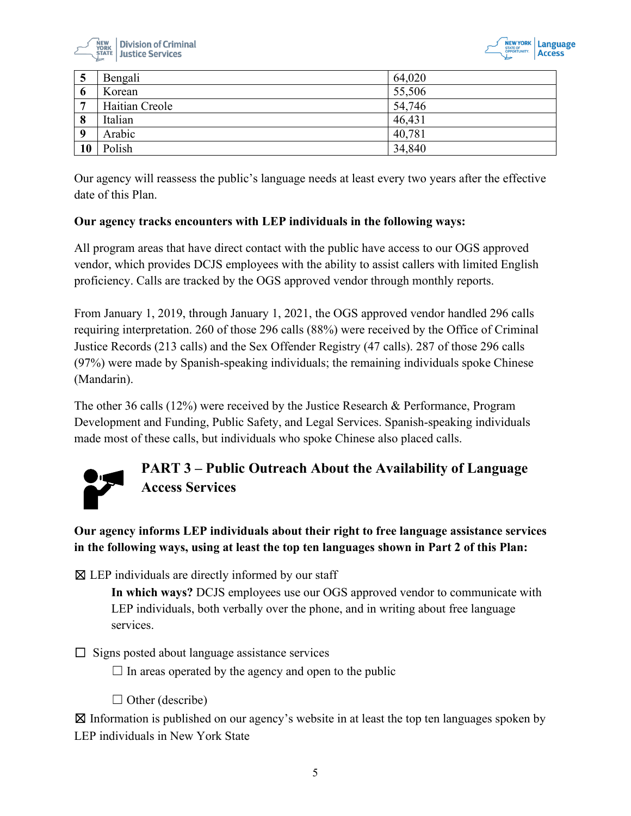



| 5            | Bengali        | 64,020 |
|--------------|----------------|--------|
| O            | Korean         | 55,506 |
| $\mathbf{r}$ | Haitian Creole | 54,746 |
| 8            | Italian        | 46,431 |
| 9            | Arabic         | 40,781 |
| 10           | Polish         | 34,840 |

Our agency will reassess the public's language needs at least every two years after the effective date of this Plan.

#### **Our agency tracks encounters with LEP individuals in the following ways:**

<span id="page-4-0"></span>All program areas that have direct contact with the public have access to our OGS approved vendor, which provides DCJS employees with the ability to assist callers with limited English proficiency. Calls are tracked by the OGS approved vendor through monthly reports.

From January 1, 2019, through January 1, 2021, the OGS approved vendor handled 296 calls requiring interpretation. 260 of those 296 calls (88%) were received by the Office of Criminal Justice Records (213 calls) and the Sex Offender Registry (47 calls). 287 of those 296 calls (97%) were made by Spanish-speaking individuals; the remaining individuals spoke Chinese (Mandarin).

The other 36 calls (12%) were received by the Justice Research & Performance, Program Development and Funding, Public Safety, and Legal Services. Spanish-speaking individuals made most of these calls, but individuals who spoke Chinese also placed calls.



# **PART 3 – Public Outreach About the Availability of Language Access Services**

**Our agency informs LEP individuals about their right to free language assistance services in the following ways, using at least the top ten languages shown in Part 2 of this Plan:** 

 $\boxtimes$  LEP individuals are directly informed by our staff

**In which ways?** DCJS employees use our OGS approved vendor to communicate with LEP individuals, both verbally over the phone, and in writing about free language services.

 $\Box$  Signs posted about language assistance services

 $\Box$  In areas operated by the agency and open to the public

 $\Box$  Other (describe)

 $\boxtimes$  Information is published on our agency's website in at least the top ten languages spoken by LEP individuals in New York State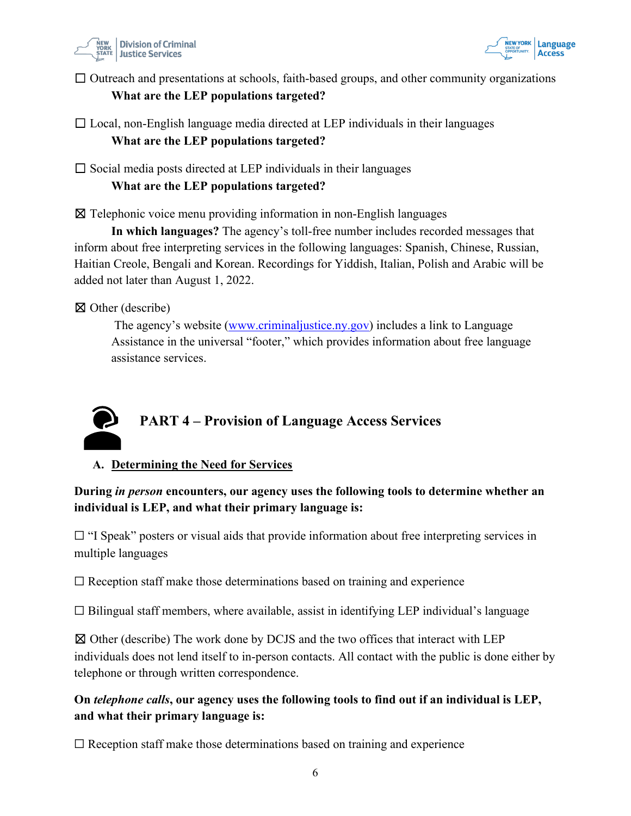



☐ Outreach and presentations at schools, faith-based groups, and other community organizations **What are the LEP populations targeted?**

 $\Box$  Local, non-English language media directed at LEP individuals in their languages **What are the LEP populations targeted?**

 $\square$  Social media posts directed at LEP individuals in their languages **What are the LEP populations targeted?**

☒ Telephonic voice menu providing information in non-English languages

**In which languages?** The agency's toll-free number includes recorded messages that inform about free interpreting services in the following languages: Spanish, Chinese, Russian, Haitian Creole, Bengali and Korean. Recordings for Yiddish, Italian, Polish and Arabic will be added not later than August 1, 2022.

☒ Other (describe)

The agency's website (www.criminaljustice.ny.gov) includes a link to Language Assistance in the universal "footer," which provides information about free language assistance services.

# <span id="page-5-0"></span>**PART 4 – Provision of Language Access Services**

**A. Determining the Need for Services**

**During** *in person* **encounters, our agency uses the following tools to determine whether an individual is LEP, and what their primary language is:** 

 $\Box$  "I Speak" posters or visual aids that provide information about free interpreting services in multiple languages

 $\Box$  Reception staff make those determinations based on training and experience

 $\Box$  Bilingual staff members, where available, assist in identifying LEP individual's language

☒ Other (describe) The work done by DCJS and the two offices that interact with LEP individuals does not lend itself to in-person contacts. All contact with the public is done either by telephone or through written correspondence.

**On** *telephone calls***, our agency uses the following tools to find out if an individual is LEP, and what their primary language is:** 

 $\Box$  Reception staff make those determinations based on training and experience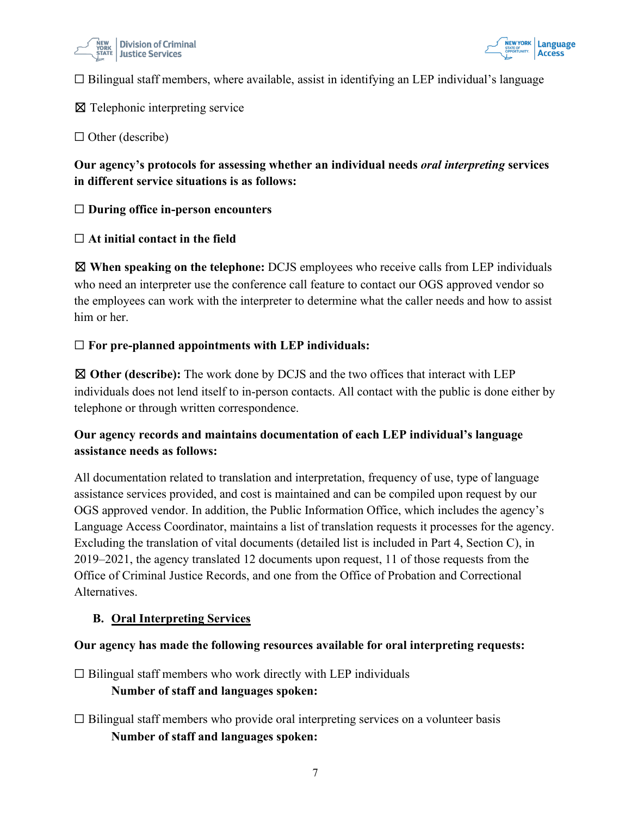



 $\Box$  Bilingual staff members, where available, assist in identifying an LEP individual's language

☒ Telephonic interpreting service

 $\Box$  Other (describe)

**Our agency's protocols for assessing whether an individual needs** *oral interpreting* **services in different service situations is as follows:** 

#### ☐ **During office in-person encounters**

☐ **At initial contact in the field**

☒ **When speaking on the telephone:** DCJS employees who receive calls from LEP individuals who need an interpreter use the conference call feature to contact our OGS approved vendor so the employees can work with the interpreter to determine what the caller needs and how to assist him or her.

#### ☐ **For pre-planned appointments with LEP individuals:**

☒ **Other (describe):** The work done by DCJS and the two offices that interact with LEP individuals does not lend itself to in-person contacts. All contact with the public is done either by telephone or through written correspondence.

# **Our agency records and maintains documentation of each LEP individual's language assistance needs as follows:**

All documentation related to translation and interpretation, frequency of use, type of language assistance services provided, and cost is maintained and can be compiled upon request by our OGS approved vendor. In addition, the Public Information Office, which includes the agency's Language Access Coordinator, maintains a list of translation requests it processes for the agency. Excluding the translation of vital documents (detailed list is included in Part 4, Section C), in 2019‒2021, the agency translated 12 documents upon request, 11 of those requests from the Office of Criminal Justice Records, and one from the Office of Probation and Correctional Alternatives.

### **B. Oral Interpreting Services**

#### **Our agency has made the following resources available for oral interpreting requests:**

 $\Box$  Bilingual staff members who work directly with LEP individuals

#### **Number of staff and languages spoken:**

 $\Box$  Bilingual staff members who provide oral interpreting services on a volunteer basis **Number of staff and languages spoken:**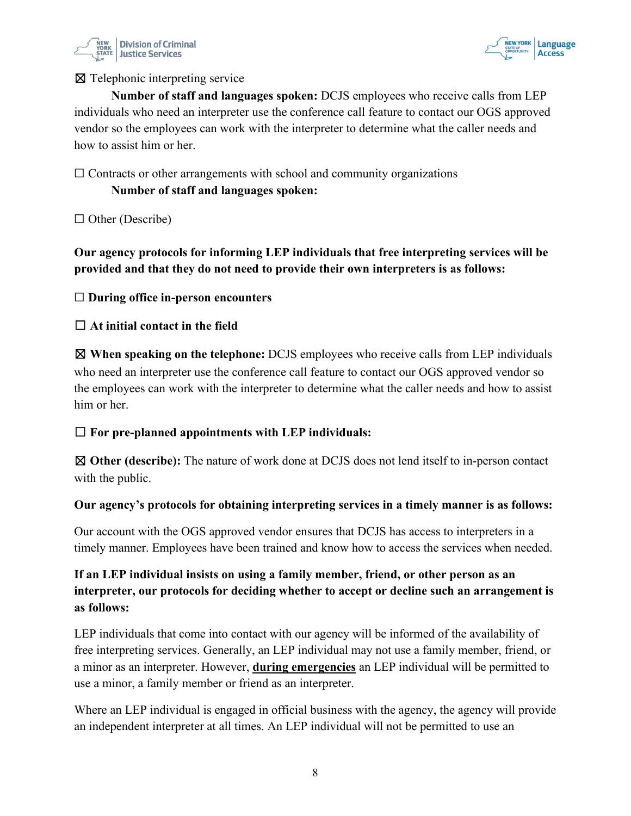



### ☒ Telephonic interpreting service

**Number of staff and languages spoken:** DCJS employees who receive calls from LEP individuals who need an interpreter use the conference call feature to contact our OGS approved vendor so the employees can work with the interpreter to determine what the caller needs and how to assist him or her.

 $\Box$  Contracts or other arrangements with school and community organizations

#### **Number of staff and languages spoken:**

☐ Other (Describe)

**Our agency protocols for informing LEP individuals that free interpreting services will be provided and that they do not need to provide their own interpreters is as follows:** 

☐ **During office in-person encounters**

### ☐ **At initial contact in the field**

☒ **When speaking on the telephone:** DCJS employees who receive calls from LEP individuals who need an interpreter use the conference call feature to contact our OGS approved vendor so the employees can work with the interpreter to determine what the caller needs and how to assist him or her.

### ☐ **For pre-planned appointments with LEP individuals:**

☒ **Other (describe):** The nature of work done at DCJS does not lend itself to in-person contact with the public.

### **Our agency's protocols for obtaining interpreting services in a timely manner is as follows:**

Our account with the OGS approved vendor ensures that DCJS has access to interpreters in a timely manner. Employees have been trained and know how to access the services when needed.

# **If an LEP individual insists on using a family member, friend, or other person as an interpreter, our protocols for deciding whether to accept or decline such an arrangement is as follows:**

LEP individuals that come into contact with our agency will be informed of the availability of free interpreting services. Generally, an LEP individual may not use a family member, friend, or a minor as an interpreter. However, **during emergencies** an LEP individual will be permitted to use a minor, a family member or friend as an interpreter.

Where an LEP individual is engaged in official business with the agency, the agency will provide an independent interpreter at all times. An LEP individual will not be permitted to use an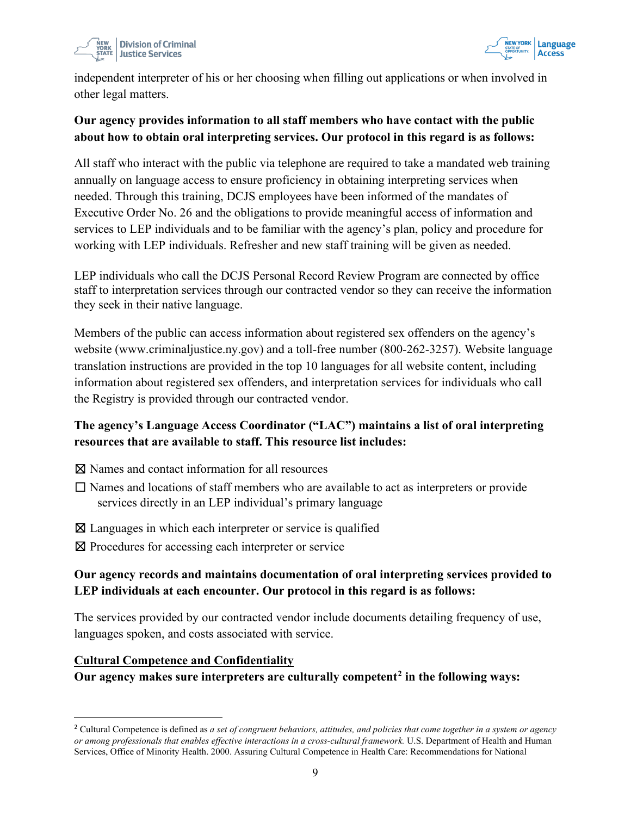



independent interpreter of his or her choosing when filling out applications or when involved in other legal matters.

# **Our agency provides information to all staff members who have contact with the public about how to obtain oral interpreting services. Our protocol in this regard is as follows:**

All staff who interact with the public via telephone are required to take a mandated web training annually on language access to ensure proficiency in obtaining interpreting services when needed. Through this training, DCJS employees have been informed of the mandates of Executive Order No. 26 and the obligations to provide meaningful access of information and services to LEP individuals and to be familiar with the agency's plan, policy and procedure for working with LEP individuals. Refresher and new staff training will be given as needed.

LEP individuals who call the DCJS Personal Record Review Program are connected by office staff to interpretation services through our contracted vendor so they can receive the information they seek in their native language.

Members of the public can access information about registered sex offenders on the agency's website (www.criminaljustice.ny.gov) and a toll-free number (800-262-3257). Website language translation instructions are provided in the top 10 languages for all website content, including information about registered sex offenders, and interpretation services for individuals who call the Registry is provided through our contracted vendor.

# **The agency's Language Access Coordinator ("LAC") maintains a list of oral interpreting resources that are available to staff. This resource list includes:**

- ☒ Names and contact information for all resources
- $\Box$  Names and locations of staff members who are available to act as interpreters or provide services directly in an LEP individual's primary language
- $\boxtimes$  Languages in which each interpreter or service is qualified
- ☒ Procedures for accessing each interpreter or service

# **Our agency records and maintains documentation of oral interpreting services provided to LEP individuals at each encounter. Our protocol in this regard is as follows:**

The services provided by our contracted vendor include documents detailing frequency of use, languages spoken, and costs associated with service.

### **Cultural Competence and Confidentiality**

**Our agency makes sure interpreters are culturally competent[2](#page-8-0) in the following ways:** 

<span id="page-8-0"></span><sup>2</sup> Cultural Competence is defined as *a set of congruent behaviors, attitudes, and policies that come together in a system or agency or among professionals that enables effective interactions in a cross-cultural framework.* U.S. Department of Health and Human Services, Office of Minority Health. 2000. Assuring Cultural Competence in Health Care: Recommendations for National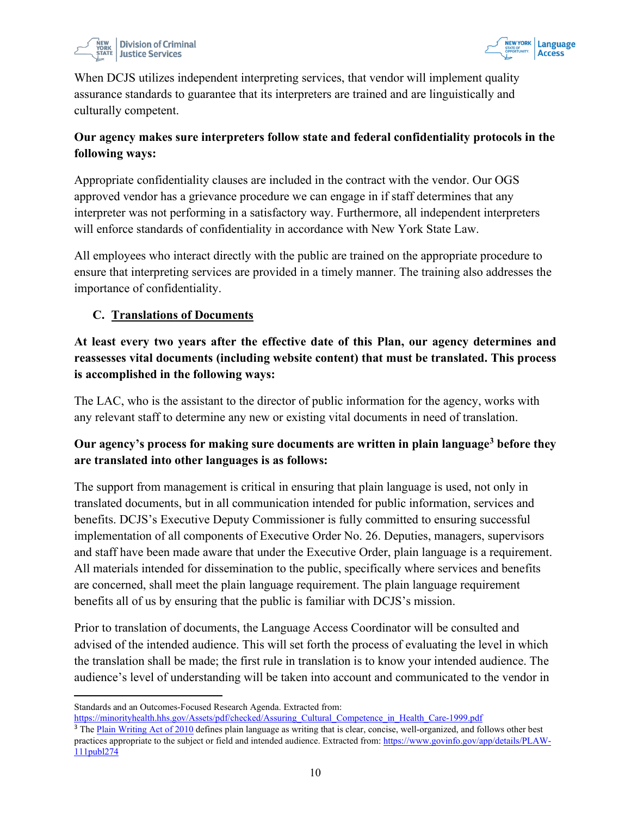

When DCJS utilizes independent interpreting services, that vendor will implement quality assurance standards to guarantee that its interpreters are trained and are linguistically and culturally competent.

# **Our agency makes sure interpreters follow state and federal confidentiality protocols in the following ways:**

Appropriate confidentiality clauses are included in the contract with the vendor. Our OGS approved vendor has a grievance procedure we can engage in if staff determines that any interpreter was not performing in a satisfactory way. Furthermore, all independent interpreters will enforce standards of confidentiality in accordance with New York State Law.

All employees who interact directly with the public are trained on the appropriate procedure to ensure that interpreting services are provided in a timely manner. The training also addresses the importance of confidentiality.

# **C. Translations of Documents**

**At least every two years after the effective date of this Plan, our agency determines and reassesses vital documents (including website content) that must be translated. This process is accomplished in the following ways:**

The LAC, who is the assistant to the director of public information for the agency, works with any relevant staff to determine any new or existing vital documents in need of translation.

# **Our agency's process for making sure documents are written in plain languag[e3](#page-9-0) before they are translated into other languages is as follows:**

The support from management is critical in ensuring that plain language is used, not only in translated documents, but in all communication intended for public information, services and benefits. DCJS's Executive Deputy Commissioner is fully committed to ensuring successful implementation of all components of Executive Order No. 26. Deputies, managers, supervisors and staff have been made aware that under the Executive Order, plain language is a requirement. All materials intended for dissemination to the public, specifically where services and benefits are concerned, shall meet the plain language requirement. The plain language requirement benefits all of us by ensuring that the public is familiar with DCJS's mission.

Prior to translation of documents, the Language Access Coordinator will be consulted and advised of the intended audience. This will set forth the process of evaluating the level in which the translation shall be made; the first rule in translation is to know your intended audience. The audience's level of understanding will be taken into account and communicated to the vendor in

Standards and an Outcomes-Focused Research Agenda. Extracted from:

https://minorityhealth.hhs.gov/Assets/pdf/checked/Assuring\_Cultural\_Competence\_in\_Health\_Care-1999.pdf

<span id="page-9-0"></span><sup>&</sup>lt;sup>3</sup> The Plain Writing Act of 2010 defines plain language as writing that is clear, concise, well-organized, and follows other best practices appropriate to the subject or field and intended audience. Extracted from: https://www.govinfo.gov/app/details/PLAW-111publ274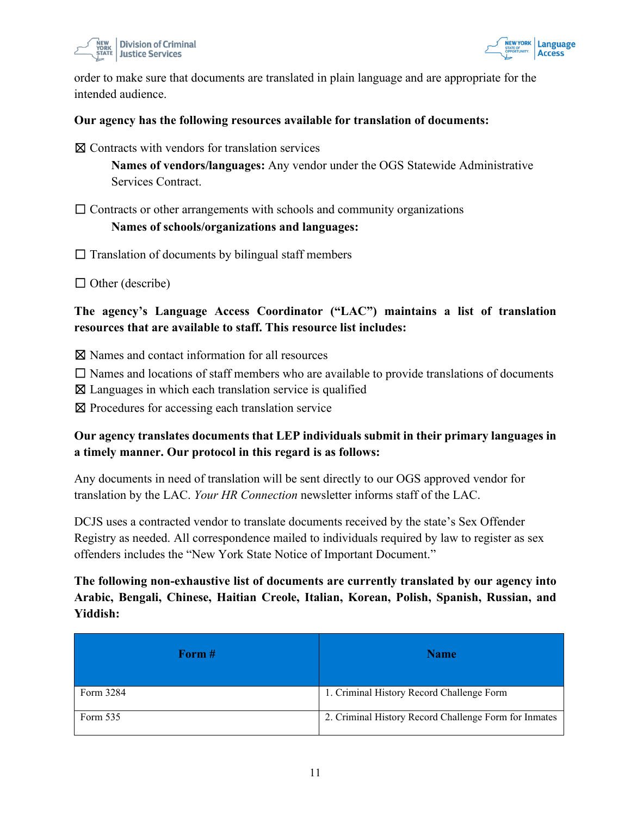



order to make sure that documents are translated in plain language and are appropriate for the intended audience.

#### **Our agency has the following resources available for translation of documents:**

 $\boxtimes$  Contracts with vendors for translation services

**Names of vendors/languages:** Any vendor under the OGS Statewide Administrative Services Contract.

 $\Box$  Contracts or other arrangements with schools and community organizations

#### **Names of schools/organizations and languages:**

 $\Box$  Translation of documents by bilingual staff members

 $\Box$  Other (describe)

## **The agency's Language Access Coordinator ("LAC") maintains a list of translation resources that are available to staff. This resource list includes:**

☒ Names and contact information for all resources

 $\Box$  Names and locations of staff members who are available to provide translations of documents

 $\boxtimes$  Languages in which each translation service is qualified

☒ Procedures for accessing each translation service

### **Our agency translates documents that LEP individuals submit in their primary languages in a timely manner. Our protocol in this regard is as follows:**

Any documents in need of translation will be sent directly to our OGS approved vendor for translation by the LAC. *Your HR Connection* newsletter informs staff of the LAC.

DCJS uses a contracted vendor to translate documents received by the state's Sex Offender Registry as needed. All correspondence mailed to individuals required by law to register as sex offenders includes the "New York State Notice of Important Document."

**The following non-exhaustive list of documents are currently translated by our agency into Arabic, Bengali, Chinese, Haitian Creole, Italian, Korean, Polish, Spanish, Russian, and Yiddish:** 

| Form #    | <b>Name</b>                                           |
|-----------|-------------------------------------------------------|
| Form 3284 | 1. Criminal History Record Challenge Form             |
| Form 535  | 2. Criminal History Record Challenge Form for Inmates |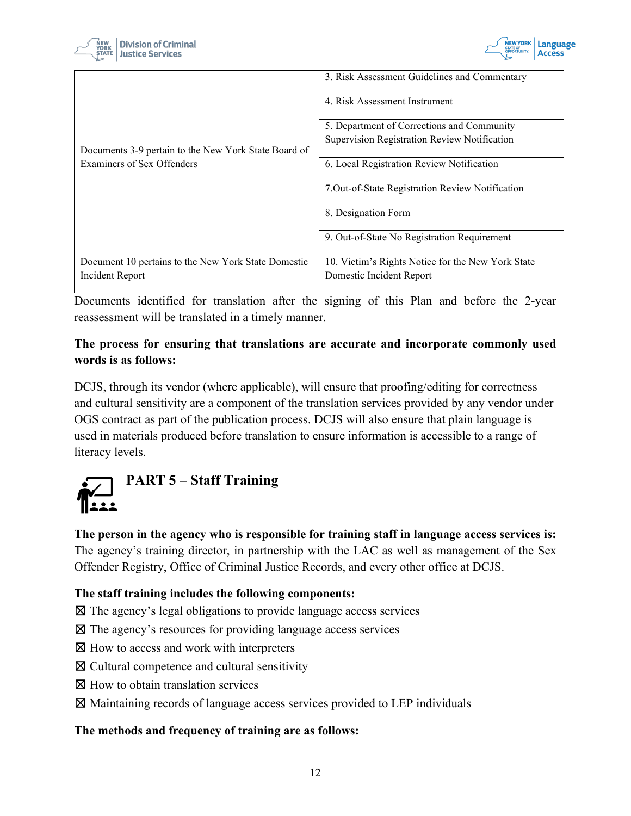



|                                                      | 3. Risk Assessment Guidelines and Commentary      |
|------------------------------------------------------|---------------------------------------------------|
|                                                      | 4. Risk Assessment Instrument                     |
|                                                      | 5. Department of Corrections and Community        |
|                                                      | Supervision Registration Review Notification      |
| Documents 3-9 pertain to the New York State Board of |                                                   |
| Examiners of Sex Offenders                           | 6. Local Registration Review Notification         |
|                                                      |                                                   |
|                                                      | 7. Out-of-State Registration Review Notification  |
|                                                      | 8. Designation Form                               |
|                                                      | 9. Out-of-State No Registration Requirement       |
| Document 10 pertains to the New York State Domestic  | 10. Victim's Rights Notice for the New York State |
| Incident Report                                      | Domestic Incident Report                          |

Documents identified for translation after the signing of this Plan and before the 2-year reassessment will be translated in a timely manner.

# **The process for ensuring that translations are accurate and incorporate commonly used words is as follows:**

<span id="page-11-0"></span>DCJS, through its vendor (where applicable), will ensure that proofing/editing for correctness and cultural sensitivity are a component of the translation services provided by any vendor under OGS contract as part of the publication process. DCJS will also ensure that plain language is used in materials produced before translation to ensure information is accessible to a range of literacy levels.



# **PART 5 – Staff Training**

**The person in the agency who is responsible for training staff in language access services is:** The agency's training director, in partnership with the LAC as well as management of the Sex Offender Registry, Office of Criminal Justice Records, and every other office at DCJS.

# **The staff training includes the following components:**

 $\boxtimes$  The agency's legal obligations to provide language access services

- ☒ The agency's resources for providing language access services
- ⊠ How to access and work with interpreters
- ☒ Cultural competence and cultural sensitivity
- $\boxtimes$  How to obtain translation services
- ☒ Maintaining records of language access services provided to LEP individuals

### **The methods and frequency of training are as follows:**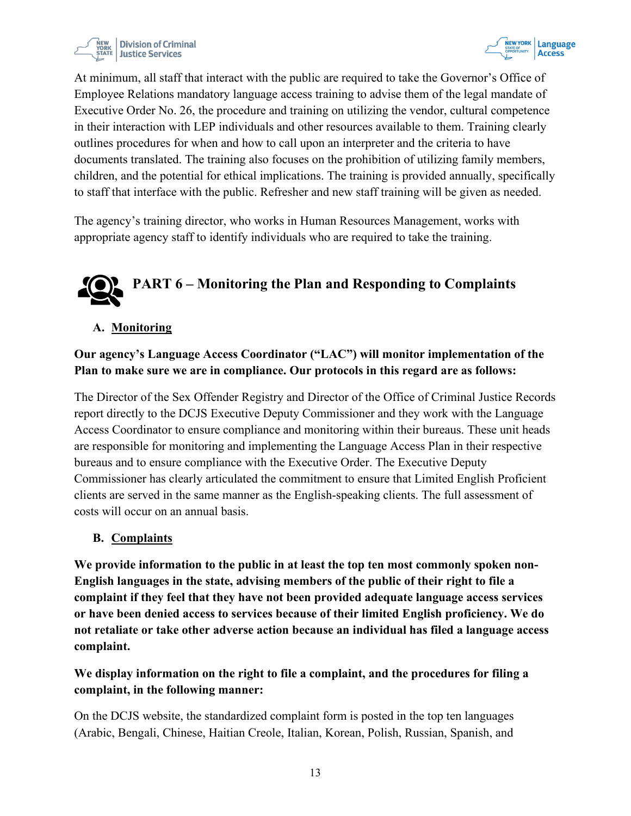

<span id="page-12-0"></span>At minimum, all staff that interact with the public are required to take the Governor's Office of Employee Relations mandatory language access training to advise them of the legal mandate of Executive Order No. 26, the procedure and training on utilizing the vendor, cultural competence in their interaction with LEP individuals and other resources available to them. Training clearly outlines procedures for when and how to call upon an interpreter and the criteria to have documents translated. The training also focuses on the prohibition of utilizing family members, children, and the potential for ethical implications. The training is provided annually, specifically to staff that interface with the public. Refresher and new staff training will be given as needed.

The agency's training director, who works in Human Resources Management, works with appropriate agency staff to identify individuals who are required to take the training.

# **PART 6 – Monitoring the Plan and Responding to Complaints**

# **A. Monitoring**

# **Our agency's Language Access Coordinator ("LAC") will monitor implementation of the Plan to make sure we are in compliance. Our protocols in this regard are as follows:**

The Director of the Sex Offender Registry and Director of the Office of Criminal Justice Records report directly to the DCJS Executive Deputy Commissioner and they work with the Language Access Coordinator to ensure compliance and monitoring within their bureaus. These unit heads are responsible for monitoring and implementing the Language Access Plan in their respective bureaus and to ensure compliance with the Executive Order. The Executive Deputy Commissioner has clearly articulated the commitment to ensure that Limited English Proficient clients are served in the same manner as the English-speaking clients. The full assessment of costs will occur on an annual basis.

# **B. Complaints**

**We provide information to the public in at least the top ten most commonly spoken non-English languages in the state, advising members of the public of their right to file a complaint if they feel that they have not been provided adequate language access services or have been denied access to services because of their limited English proficiency. We do not retaliate or take other adverse action because an individual has filed a language access complaint.** 

# **We display information on the right to file a complaint, and the procedures for filing a complaint, in the following manner:**

On the DCJS website, the standardized complaint form is posted in the top ten languages (Arabic, Bengali, Chinese, Haitian Creole, Italian, Korean, Polish, Russian, Spanish, and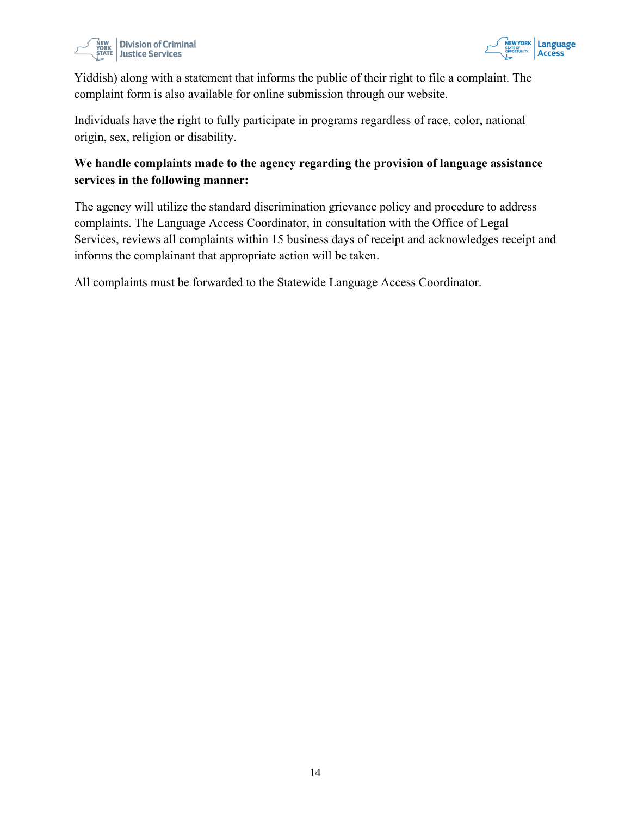

<span id="page-13-0"></span>

Yiddish) along with a statement that informs the public of their right to file a complaint. The complaint form is also available for online submission through our website.

Individuals have the right to fully participate in programs regardless of race, color, national origin, sex, religion or disability.

# **We handle complaints made to the agency regarding the provision of language assistance services in the following manner:**

The agency will utilize the standard discrimination grievance policy and procedure to address complaints. The Language Access Coordinator, in consultation with the Office of Legal Services, reviews all complaints within 15 business days of receipt and acknowledges receipt and informs the complainant that appropriate action will be taken.

All complaints must be forwarded to the Statewide Language Access Coordinator.